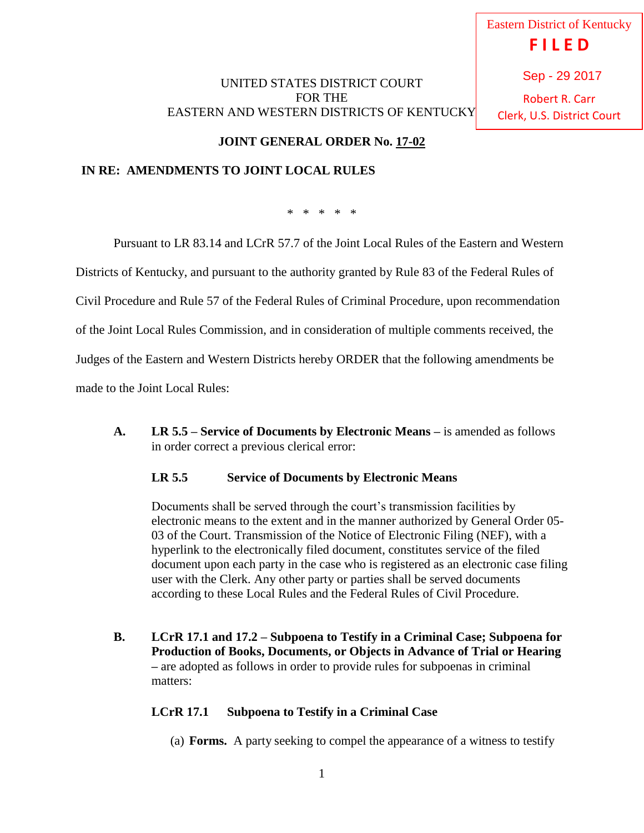#### UNITED STATES DISTRICT COURT FOR THE EASTERN AND WESTERN DISTRICTS OF KENTUCKY

Eastern District of Kentucky **F I L E D** Sep - 29 2017

# Robert R. Carr Clerk, U.S. District Court

## **JOINT GENERAL ORDER No. 17-02**

### **IN RE: AMENDMENTS TO JOINT LOCAL RULES**

\* \* \* \* \*

Pursuant to LR 83.14 and LCrR 57.7 of the Joint Local Rules of the Eastern and Western

Districts of Kentucky, and pursuant to the authority granted by Rule 83 of the Federal Rules of

Civil Procedure and Rule 57 of the Federal Rules of Criminal Procedure, upon recommendation

of the Joint Local Rules Commission, and in consideration of multiple comments received, the

Judges of the Eastern and Western Districts hereby ORDER that the following amendments be

made to the Joint Local Rules:

**A. LR 5.5 – Service of Documents by Electronic Means –** is amended as follows in order correct a previous clerical error:

#### **LR 5.5 Service of Documents by Electronic Means**

Documents shall be served through the court's transmission facilities by electronic means to the extent and in the manner authorized by General Order 05- 03 of the Court. Transmission of the Notice of Electronic Filing (NEF), with a hyperlink to the electronically filed document, constitutes service of the filed document upon each party in the case who is registered as an electronic case filing user with the Clerk. Any other party or parties shall be served documents according to these Local Rules and the Federal Rules of Civil Procedure.

**B. LCrR 17.1 and 17.2 – Subpoena to Testify in a Criminal Case; Subpoena for Production of Books, Documents, or Objects in Advance of Trial or Hearing –** are adopted as follows in order to provide rules for subpoenas in criminal matters:

### **LCrR 17.1 Subpoena to Testify in a Criminal Case**

(a) **Forms.** A party seeking to compel the appearance of a witness to testify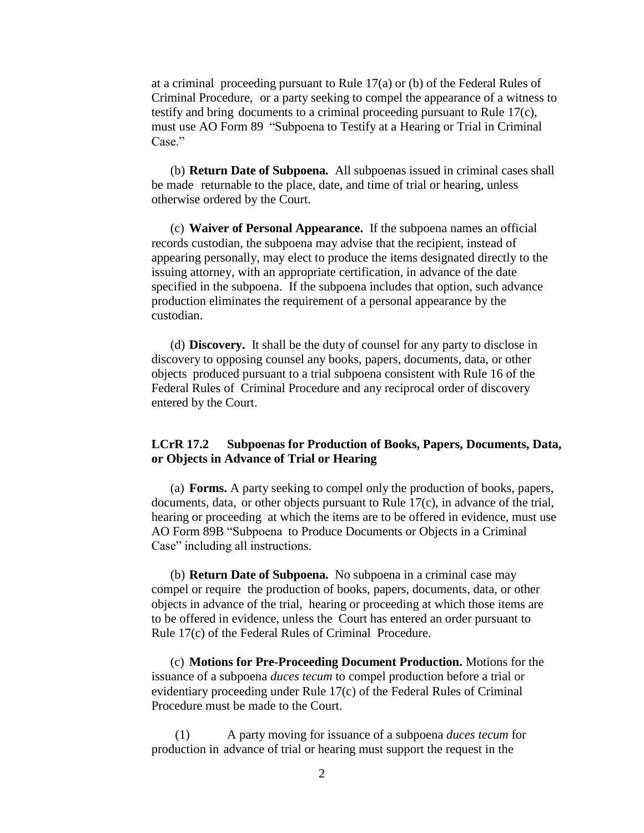at a criminal proceeding pursuant to Rule 17(a) or (b) of the Federal Rules of Criminal Procedure, or a party seeking to compel the appearance of a witness to testify and bring documents to a criminal proceeding pursuant to Rule 17(c), must use AO Form 89 "Subpoena to Testify at a Hearing or Trial in Criminal Case."

(b) **Return Date of Subpoena.** All subpoenas issued in criminal cases shall be made returnable to the place, date, and time of trial or hearing, unless otherwise ordered by the Court.

(c) **Waiver of Personal Appearance.** If the subpoena names an official records custodian, the subpoena may advise that the recipient, instead of appearing personally, may elect to produce the items designated directly to the issuing attorney, with an appropriate certification, in advance of the date specified in the subpoena. If the subpoena includes that option, such advance production eliminates the requirement of a personal appearance by the custodian.

(d) **Discovery.** It shall be the duty of counsel for any party to disclose in discovery to opposing counsel any books, papers, documents, data, or other objects produced pursuant to a trial subpoena consistent with Rule 16 of the Federal Rules of Criminal Procedure and any reciprocal order of discovery entered by the Court.

#### **LCrR 17.2 Subpoenas for Production of Books, Papers, Documents, Data, or Objects in Advance of Trial or Hearing**

(a) **Forms.** A party seeking to compel only the production of books, papers, documents, data, or other objects pursuant to Rule 17(c), in advance of the trial, hearing or proceeding at which the items are to be offered in evidence, must use AO Form 89B "Subpoena to Produce Documents or Objects in a Criminal Case" including all instructions.

(b) **Return Date of Subpoena.** No subpoena in a criminal case may compel or require the production of books, papers, documents, data, or other objects in advance of the trial, hearing or proceeding at which those items are to be offered in evidence, unless the Court has entered an order pursuant to Rule 17(c) of the Federal Rules of Criminal Procedure.

(c) **Motions for Pre-Proceeding Document Production.** Motions for the issuance of a subpoena *duces tecum* to compel production before a trial or evidentiary proceeding under Rule 17(c) of the Federal Rules of Criminal Procedure must be made to the Court.

(1) A party moving for issuance of a subpoena *duces tecum* for production in advance of trial or hearing must support the request in the